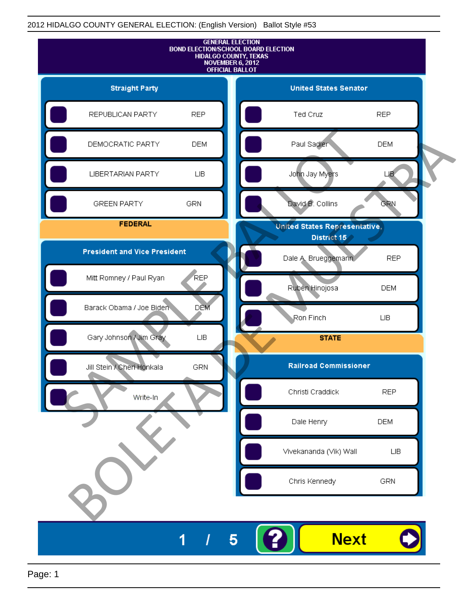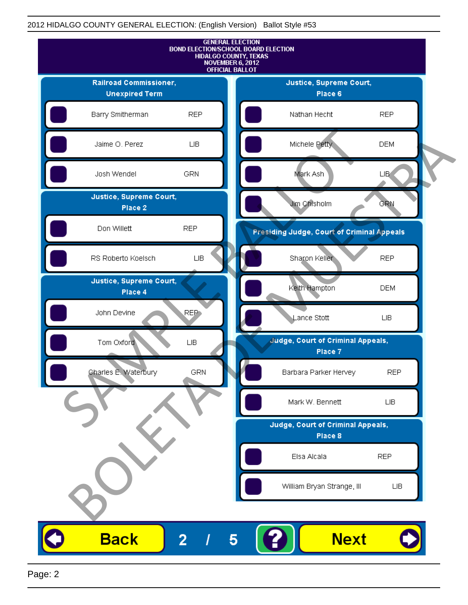

Page: 2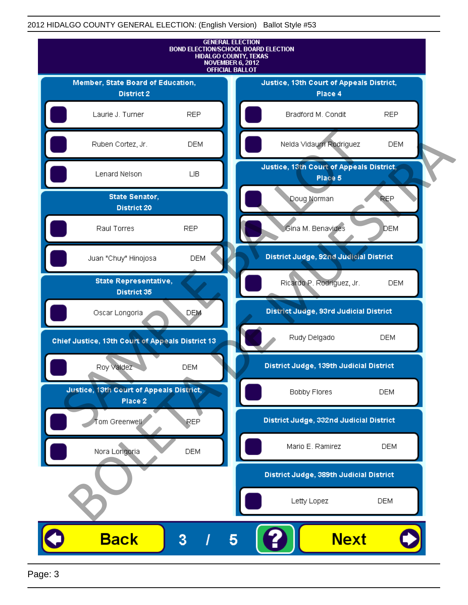

Page: 3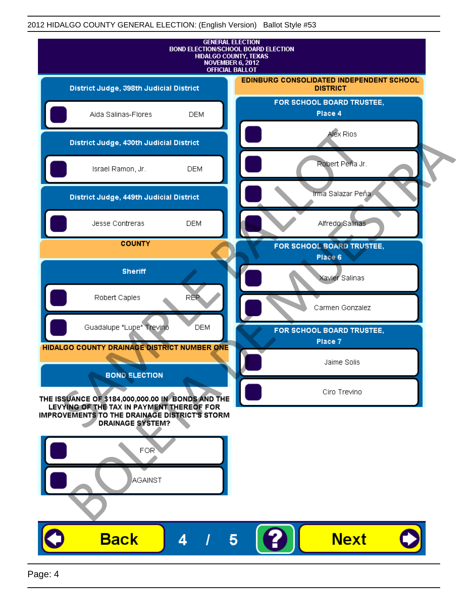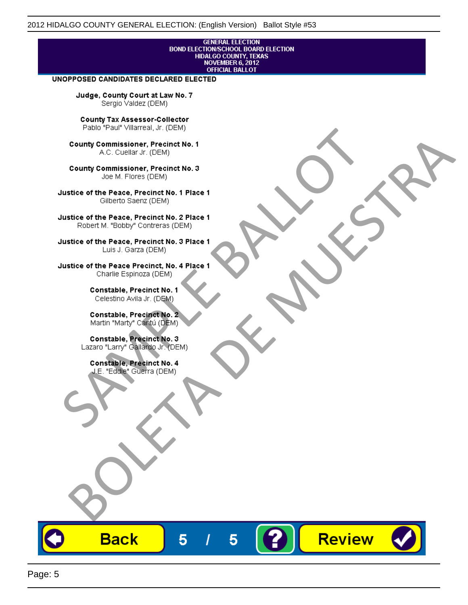# **GENERAL ELECTION** BOND ELECTIONSCHOOL BOARD ELECTION<br>HIDALGO COUNTY, TEXAS<br>NOVEMBER 6, 2012<br>OFFICIAL BALLOT

Review

#### UNOPPOSED CANDIDATES DECLARED ELECTED

Judge, County Court at Law No. 7 Sergio Valdez (DEM)

County Tax Assessor-Collector

Fall Paul Visitera, Precinct No. 1<br>
County Commissioner, Precinct No. 1<br>
SAC. Cutellar JF: (DEM)<br>
County Commissioner, Precinct No. 2<br>
Ulattice of the Peace, Precinct No. 2 Place 1<br>
Counter M. "Bobby" Contrers (DEM)<br>
Ulatt County Commissioner, Precinct No. 1<br>
Accounts: A County Commissioner, Precinct No. 3<br>
Use of the Peace, Precinct No. 1<br>
Siste of the Peace, Precinct No. 1<br>
There is a control of the County Commission (DEM)<br>
There is a cont

**Back** 

5

5

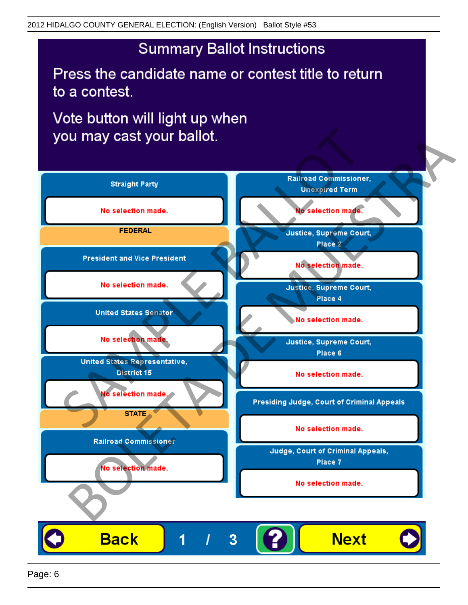## **Summary Ballot Instructions**

Press the candidate name or contest title to return to a contest.

Vote button will light up when

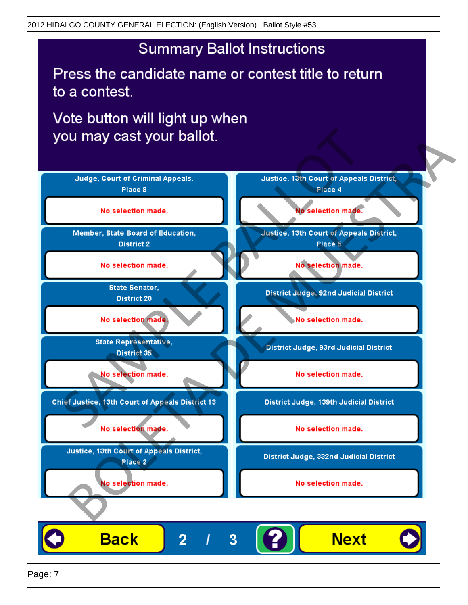## **Summary Ballot Instructions**

Press the candidate name or contest title to return to a contest.

Vote button will light up when